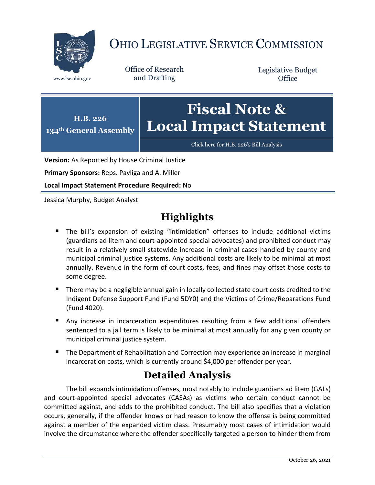

# OHIO LEGISLATIVE SERVICE COMMISSION

Office of Research www.lsc.ohio.gov and Drafting

Legislative Budget **Office** 



[Click here for H.B. 226](https://www.legislature.ohio.gov/legislation/legislation-documents?id=GA134-HB-226)'s Bill Analysis

**Version:** As Reported by House Criminal Justice

**Primary Sponsors:** Reps. Pavliga and A. Miller

**Local Impact Statement Procedure Required:** No

Jessica Murphy, Budget Analyst

# **Highlights**

- The bill's expansion of existing "intimidation" offenses to include additional victims (guardians ad litem and court-appointed special advocates) and prohibited conduct may result in a relatively small statewide increase in criminal cases handled by county and municipal criminal justice systems. Any additional costs are likely to be minimal at most annually. Revenue in the form of court costs, fees, and fines may offset those costs to some degree.
- There may be a negligible annual gain in locally collected state court costs credited to the Indigent Defense Support Fund (Fund 5DY0) and the Victims of Crime/Reparations Fund (Fund 4020).
- Any increase in incarceration expenditures resulting from a few additional offenders sentenced to a jail term is likely to be minimal at most annually for any given county or municipal criminal justice system.
- The Department of Rehabilitation and Correction may experience an increase in marginal incarceration costs, which is currently around \$4,000 per offender per year.

# **Detailed Analysis**

The bill expands intimidation offenses, most notably to include guardians ad litem (GALs) and court-appointed special advocates (CASAs) as victims who certain conduct cannot be committed against, and adds to the prohibited conduct. The bill also specifies that a violation occurs, generally, if the offender knows or had reason to know the offense is being committed against a member of the expanded victim class. Presumably most cases of intimidation would involve the circumstance where the offender specifically targeted a person to hinder them from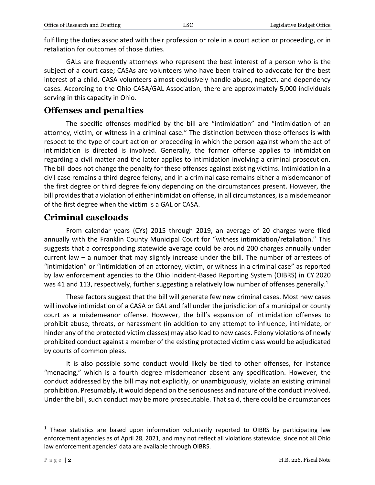| Office of Research and Drafting |  |  |  |
|---------------------------------|--|--|--|
|---------------------------------|--|--|--|

fulfilling the duties associated with their profession or role in a court action or proceeding, or in retaliation for outcomes of those duties.

GALs are frequently attorneys who represent the best interest of a person who is the subject of a court case; CASAs are volunteers who have been trained to advocate for the best interest of a child. CASA volunteers almost exclusively handle abuse, neglect, and dependency cases. According to the Ohio CASA/GAL Association, there are approximately 5,000 individuals serving in this capacity in Ohio.

## **Offenses and penalties**

The specific offenses modified by the bill are "intimidation" and "intimidation of an attorney, victim, or witness in a criminal case." The distinction between those offenses is with respect to the type of court action or proceeding in which the person against whom the act of intimidation is directed is involved. Generally, the former offense applies to intimidation regarding a civil matter and the latter applies to intimidation involving a criminal prosecution. The bill does not change the penalty for these offenses against existing victims. Intimidation in a civil case remains a third degree felony, and in a criminal case remains either a misdemeanor of the first degree or third degree felony depending on the circumstances present. However, the bill provides that a violation of either intimidation offense, in all circumstances, is a misdemeanor of the first degree when the victim is a GAL or CASA.

## **Criminal caseloads**

From calendar years (CYs) 2015 through 2019, an average of 20 charges were filed annually with the Franklin County Municipal Court for "witness intimidation/retaliation." This suggests that a corresponding statewide average could be around 200 charges annually under current law – a number that may slightly increase under the bill. The number of arrestees of "intimidation" or "intimidation of an attorney, victim, or witness in a criminal case" as reported by law enforcement agencies to the Ohio Incident-Based Reporting System (OIBRS) in CY 2020 was 41 and 113, respectively, further suggesting a relatively low number of offenses generally.<sup>1</sup>

These factors suggest that the bill will generate few new criminal cases. Most new cases will involve intimidation of a CASA or GAL and fall under the jurisdiction of a municipal or county court as a misdemeanor offense. However, the bill's expansion of intimidation offenses to prohibit abuse, threats, or harassment (in addition to any attempt to influence, intimidate, or hinder any of the protected victim classes) may also lead to new cases. Felony violations of newly prohibited conduct against a member of the existing protected victim class would be adjudicated by courts of common pleas.

It is also possible some conduct would likely be tied to other offenses, for instance "menacing," which is a fourth degree misdemeanor absent any specification. However, the conduct addressed by the bill may not explicitly, or unambiguously, violate an existing criminal prohibition. Presumably, it would depend on the seriousness and nature of the conduct involved. Under the bill, such conduct may be more prosecutable. That said, there could be circumstances

 $\overline{a}$ 

 $1$  These statistics are based upon information voluntarily reported to OIBRS by participating law enforcement agencies as of April 28, 2021, and may not reflect all violations statewide, since not all Ohio law enforcement agencies' data are available through OIBRS.